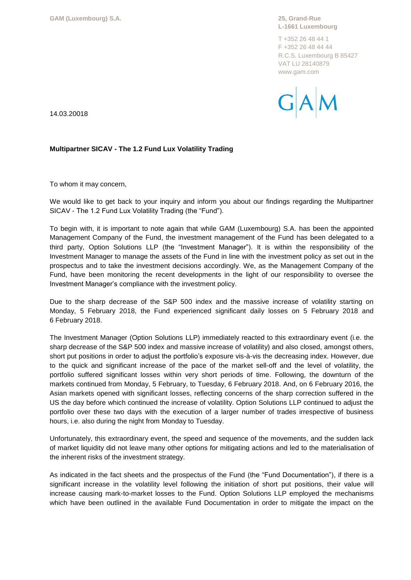**L-1661 Luxembourg**

T +352 26 48 44 1 F +352 26 48 44 44 R.C.S. Luxembourg B 85427 VAT LU 28140879 www.gam.com



14.03.20018

## **Multipartner SICAV - The 1.2 Fund Lux Volatility Trading**

To whom it may concern,

We would like to get back to your inquiry and inform you about our findings regarding the Multipartner SICAV - The 1.2 Fund Lux Volatility Trading (the "Fund").

To begin with, it is important to note again that while GAM (Luxembourg) S.A. has been the appointed Management Company of the Fund, the investment management of the Fund has been delegated to a third party, Option Solutions LLP (the "Investment Manager"). It is within the responsibility of the Investment Manager to manage the assets of the Fund in line with the investment policy as set out in the prospectus and to take the investment decisions accordingly. We, as the Management Company of the Fund, have been monitoring the recent developments in the light of our responsibility to oversee the Investment Manager's compliance with the investment policy.

Due to the sharp decrease of the S&P 500 index and the massive increase of volatility starting on Monday, 5 February 2018, the Fund experienced significant daily losses on 5 February 2018 and 6 February 2018.

The Investment Manager (Option Solutions LLP) immediately reacted to this extraordinary event (i.e. the sharp decrease of the S&P 500 index and massive increase of volatility) and also closed, amongst others, short put positions in order to adjust the portfolio's exposure vis-à-vis the decreasing index. However, due to the quick and significant increase of the pace of the market sell-off and the level of volatility, the portfolio suffered significant losses within very short periods of time. Following, the downturn of the markets continued from Monday, 5 February, to Tuesday, 6 February 2018. And, on 6 February 2016, the Asian markets opened with significant losses, reflecting concerns of the sharp correction suffered in the US the day before which continued the increase of volatility. Option Solutions LLP continued to adjust the portfolio over these two days with the execution of a larger number of trades irrespective of business hours, i.e. also during the night from Monday to Tuesday.

Unfortunately, this extraordinary event, the speed and sequence of the movements, and the sudden lack of market liquidity did not leave many other options for mitigating actions and led to the materialisation of the inherent risks of the investment strategy.

As indicated in the fact sheets and the prospectus of the Fund (the "Fund Documentation"), if there is a significant increase in the volatility level following the initiation of short put positions, their value will increase causing mark-to-market losses to the Fund. Option Solutions LLP employed the mechanisms which have been outlined in the available Fund Documentation in order to mitigate the impact on the